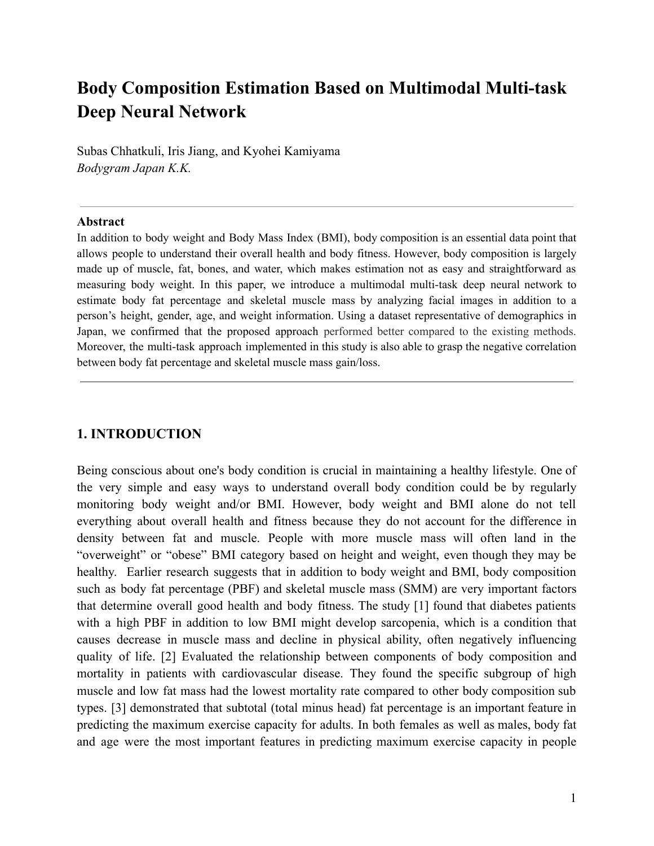# **Body Composition Estimation Based on Multimodal Multi-task Deep Neural Network**

Subas Chhatkuli, Iris Jiang, and Kyohei Kamiyama *Bodygram Japan K.K.*

#### **Abstract**

In addition to body weight and Body Mass Index (BMI), body composition is an essential data point that allows people to understand their overall health and body fitness. However, body composition is largely made up of muscle, fat, bones, and water, which makes estimation not as easy and straightforward as measuring body weight. In this paper, we introduce a multimodal multi-task deep neural network to estimate body fat percentage and skeletal muscle mass by analyzing facial images in addition to a person's height, gender, age, and weight information. Using a dataset representative of demographics in Japan, we confirmed that the proposed approach performed better compared to the existing methods. Moreover, the multi-task approach implemented in this study is also able to grasp the negative correlation between body fat percentage and skeletal muscle mass gain/loss.

### **1. INTRODUCTION**

Being conscious about one's body condition is crucial in maintaining a healthy lifestyle. One of the very simple and easy ways to understand overall body condition could be by regularly monitoring body weight and/or BMI. However, body weight and BMI alone do not tell everything about overall health and fitness because they do not account for the difference in density between fat and muscle. People with more muscle mass will often land in the "overweight" or "obese" BMI category based on height and weight, even though they may be healthy. Earlier research suggests that in addition to body weight and BMI, body composition such as body fat percentage (PBF) and skeletal muscle mass (SMM) are very important factors that determine overall good health and body fitness. The study [1] found that diabetes patients with a high PBF in addition to low BMI might develop sarcopenia, which is a condition that causes decrease in muscle mass and decline in physical ability, often negatively influencing quality of life. [2] Evaluated the relationship between components of body composition and mortality in patients with cardiovascular disease. They found the specific subgroup of high muscle and low fat mass had the lowest mortality rate compared to other body composition sub types. [3] demonstrated that subtotal (total minus head) fat percentage is an important feature in predicting the maximum exercise capacity for adults. In both females as well as males, body fat and age were the most important features in predicting maximum exercise capacity in people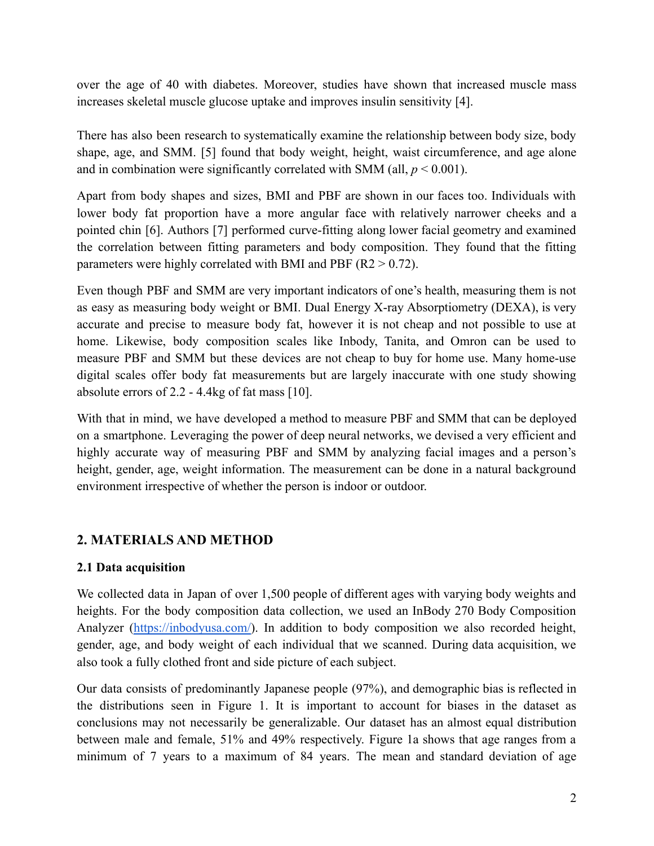over the age of 40 with diabetes. Moreover, studies have shown that increased muscle mass increases skeletal muscle glucose uptake and improves insulin sensitivity [4].

There has also been research to systematically examine the relationship between body size, body shape, age, and SMM. [5] found that body weight, height, waist circumference, and age alone and in combination were significantly correlated with SMM (all,  $p < 0.001$ ).

Apart from body shapes and sizes, BMI and PBF are shown in our faces too. Individuals with lower body fat proportion have a more angular face with relatively narrower cheeks and a pointed chin [6]. Authors [7] performed curve-fitting along lower facial geometry and examined the correlation between fitting parameters and body composition. They found that the fitting parameters were highly correlated with BMI and PBF  $(R2 > 0.72)$ .

Even though PBF and SMM are very important indicators of one's health, measuring them is not as easy as measuring body weight or BMI. Dual Energy X-ray Absorptiometry (DEXA), is very accurate and precise to measure body fat, however it is not cheap and not possible to use at home. Likewise, body composition scales like Inbody, Tanita, and Omron can be used to measure PBF and SMM but these devices are not cheap to buy for home use. Many home-use digital scales offer body fat measurements but are largely inaccurate with one study showing absolute errors of 2.2 - 4.4kg of fat mass [10].

With that in mind, we have developed a method to measure PBF and SMM that can be deployed on a smartphone. Leveraging the power of deep neural networks, we devised a very efficient and highly accurate way of measuring PBF and SMM by analyzing facial images and a person's height, gender, age, weight information. The measurement can be done in a natural background environment irrespective of whether the person is indoor or outdoor.

# **2. MATERIALS AND METHOD**

# **2.1 Data acquisition**

We collected data in Japan of over 1,500 people of different ages with varying body weights and heights. For the body composition data collection, we used an InBody 270 Body Composition Analyzer [\(https://inbodyusa.com/\)](https://inbodyusa.com/). In addition to body composition we also recorded height, gender, age, and body weight of each individual that we scanned. During data acquisition, we also took a fully clothed front and side picture of each subject.

Our data consists of predominantly Japanese people (97%), and demographic bias is reflected in the distributions seen in Figure 1. It is important to account for biases in the dataset as conclusions may not necessarily be generalizable. Our dataset has an almost equal distribution between male and female, 51% and 49% respectively. Figure 1a shows that age ranges from a minimum of 7 years to a maximum of 84 years. The mean and standard deviation of age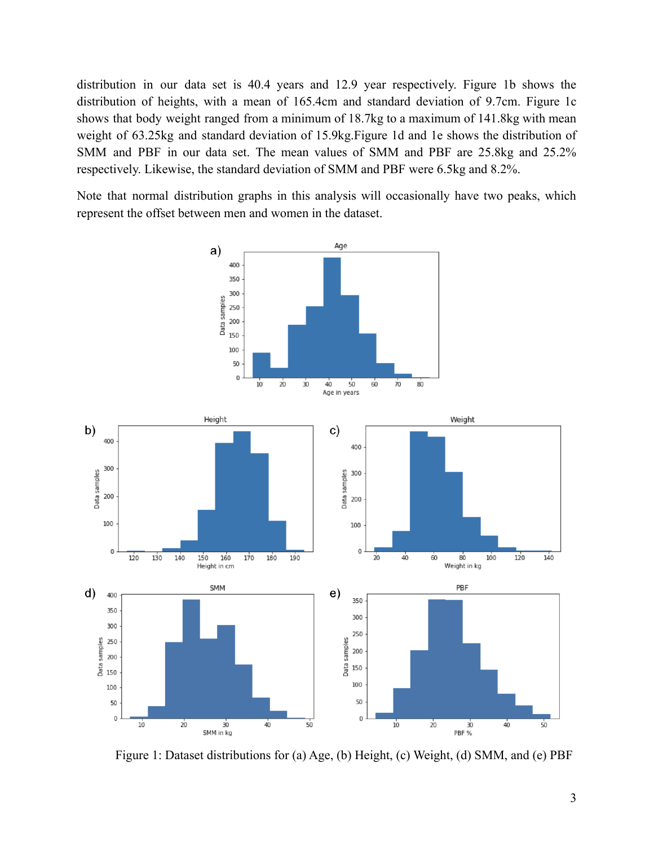distribution in our data set is 40.4 years and 12.9 year respectively. Figure 1b shows the distribution of heights, with a mean of 165.4cm and standard deviation of 9.7cm. Figure 1c shows that body weight ranged from a minimum of 18.7kg to a maximum of 141.8kg with mean weight of 63.25kg and standard deviation of 15.9kg.Figure 1d and 1e shows the distribution of SMM and PBF in our data set. The mean values of SMM and PBF are 25.8kg and 25.2% respectively. Likewise, the standard deviation of SMM and PBF were 6.5kg and 8.2%.

Note that normal distribution graphs in this analysis will occasionally have two peaks, which represent the offset between men and women in the dataset.



Figure 1: Dataset distributions for (a) Age, (b) Height, (c) Weight, (d) SMM, and (e) PBF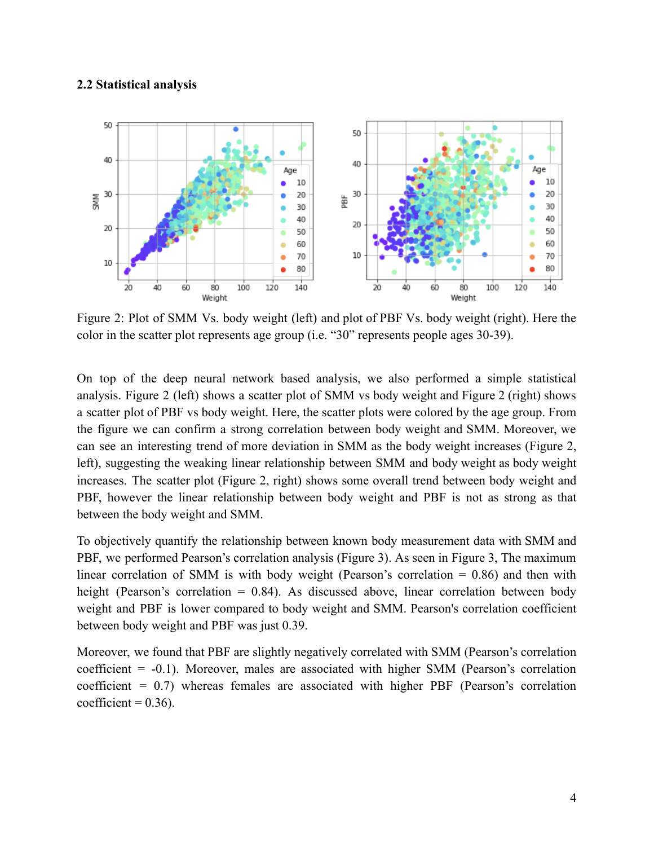#### **2.2 Statistical analysis**



Figure 2: Plot of SMM Vs. body weight (left) and plot of PBF Vs. body weight (right). Here the color in the scatter plot represents age group (i.e. "30" represents people ages 30-39).

On top of the deep neural network based analysis, we also performed a simple statistical analysis. Figure 2 (left) shows a scatter plot of SMM vs body weight and Figure 2 (right) shows a scatter plot of PBF vs body weight. Here, the scatter plots were colored by the age group. From the figure we can confirm a strong correlation between body weight and SMM. Moreover, we can see an interesting trend of more deviation in SMM as the body weight increases (Figure 2, left), suggesting the weaking linear relationship between SMM and body weight as body weight increases. The scatter plot (Figure 2, right) shows some overall trend between body weight and PBF, however the linear relationship between body weight and PBF is not as strong as that between the body weight and SMM.

To objectively quantify the relationship between known body measurement data with SMM and PBF, we performed Pearson's correlation analysis (Figure 3). As seen in Figure 3, The maximum linear correlation of SMM is with body weight (Pearson's correlation  $= 0.86$ ) and then with height (Pearson's correlation = 0.84). As discussed above, linear correlation between body weight and PBF is lower compared to body weight and SMM. Pearson's correlation coefficient between body weight and PBF was just 0.39.

Moreover, we found that PBF are slightly negatively correlated with SMM (Pearson's correlation coefficient = -0.1). Moreover, males are associated with higher SMM (Pearson's correlation coefficient =  $0.7$ ) whereas females are associated with higher PBF (Pearson's correlation coefficient =  $0.36$ ).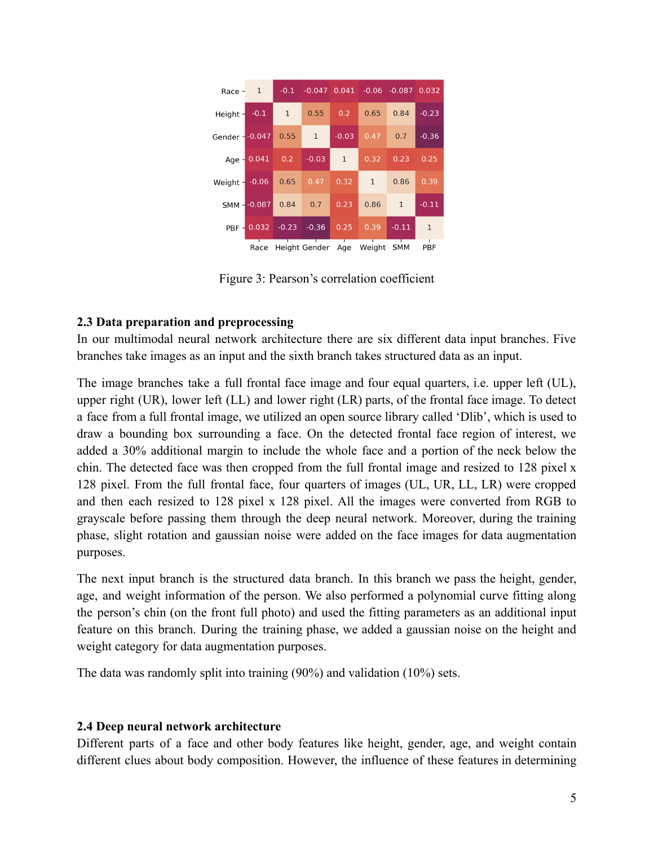| Race $-1$        |                       |              |                              |              |              | $-0.1$ $-0.047$ $0.041$ $-0.06$ $-0.087$ 0.032 |              |
|------------------|-----------------------|--------------|------------------------------|--------------|--------------|------------------------------------------------|--------------|
| Height $-0.1$    |                       | $\mathbf{1}$ | 0.55                         | 0.2          | 0.65         | 0.84                                           | $-0.23$      |
| Gender - - 0.047 |                       | 0.55         | $\mathbf{1}$                 | $-0.03$      | 0.47         | 0.7                                            | $-0.36$      |
|                  | $Age - 0.041 0.2$     |              | $-0.03$                      | $\mathbf{1}$ | 0.32         | 0.23                                           | 0.25         |
| Weight $-0.06$   |                       |              | $0.65$ 0.47                  | 0.32         | $\mathbf{1}$ | 0.86                                           | 0.39         |
|                  | SMM--0.087            |              | $0.84$ 0.7                   | 0.23         | 0.86         | $\mathbf{1}$                                   | $-0.11$      |
|                  | PRF 0.032 -0.23 -0.36 |              |                              | 0.25         | 0.39         | $-0.11$                                        | $\mathbf{1}$ |
|                  | Race                  |              | Height Gender Age Weight SMM |              |              |                                                | PBF          |

Figure 3: Pearson's correlation coefficient

# **2.3 Data preparation and preprocessing**

In our multimodal neural network architecture there are six different data input branches. Five branches take images as an input and the sixth branch takes structured data as an input.

The image branches take a full frontal face image and four equal quarters, i.e. upper left (UL), upper right (UR), lower left (LL) and lower right (LR) parts, of the frontal face image. To detect a face from a full frontal image, we utilized an open source library called 'Dlib', which is used to draw a bounding box surrounding a face. On the detected frontal face region of interest, we added a 30% additional margin to include the whole face and a portion of the neck below the chin. The detected face was then cropped from the full frontal image and resized to 128 pixel x 128 pixel. From the full frontal face, four quarters of images (UL, UR, LL, LR) were cropped and then each resized to 128 pixel x 128 pixel. All the images were converted from RGB to grayscale before passing them through the deep neural network. Moreover, during the training phase, slight rotation and gaussian noise were added on the face images for data augmentation purposes.

The next input branch is the structured data branch. In this branch we pass the height, gender, age, and weight information of the person. We also performed a polynomial curve fitting along the person's chin (on the front full photo) and used the fitting parameters as an additional input feature on this branch. During the training phase, we added a gaussian noise on the height and weight category for data augmentation purposes.

The data was randomly split into training (90%) and validation (10%) sets.

# **2.4 Deep neural network architecture**

Different parts of a face and other body features like height, gender, age, and weight contain different clues about body composition. However, the influence of these features in determining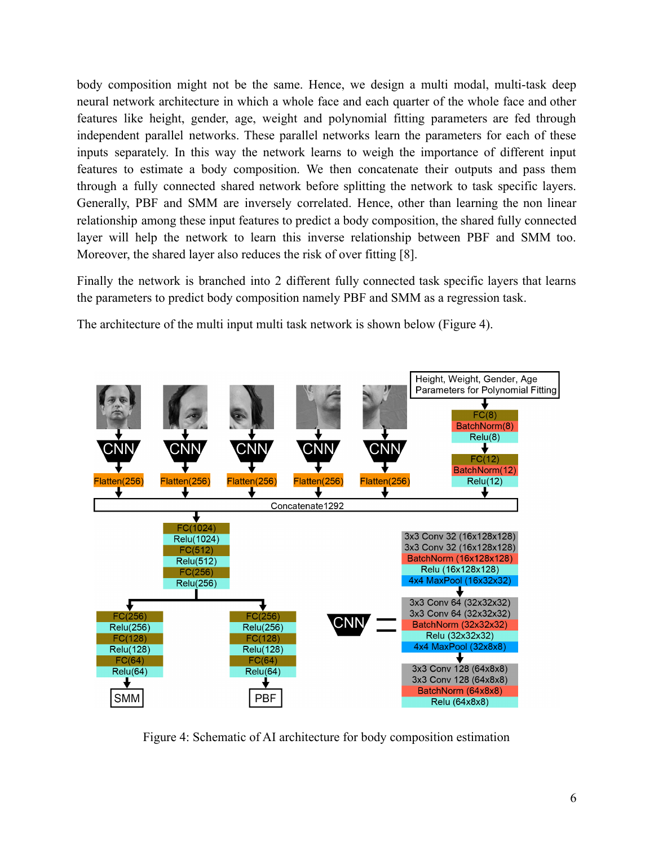body composition might not be the same. Hence, we design a multi modal, multi-task deep neural network architecture in which a whole face and each quarter of the whole face and other features like height, gender, age, weight and polynomial fitting parameters are fed through independent parallel networks. These parallel networks learn the parameters for each of these inputs separately. In this way the network learns to weigh the importance of different input features to estimate a body composition. We then concatenate their outputs and pass them through a fully connected shared network before splitting the network to task specific layers. Generally, PBF and SMM are inversely correlated. Hence, other than learning the non linear relationship among these input features to predict a body composition, the shared fully connected layer will help the network to learn this inverse relationship between PBF and SMM too. Moreover, the shared layer also reduces the risk of over fitting [8].

Finally the network is branched into 2 different fully connected task specific layers that learns the parameters to predict body composition namely PBF and SMM as a regression task.

The architecture of the multi input multi task network is shown below (Figure 4).



Figure 4: Schematic of AI architecture for body composition estimation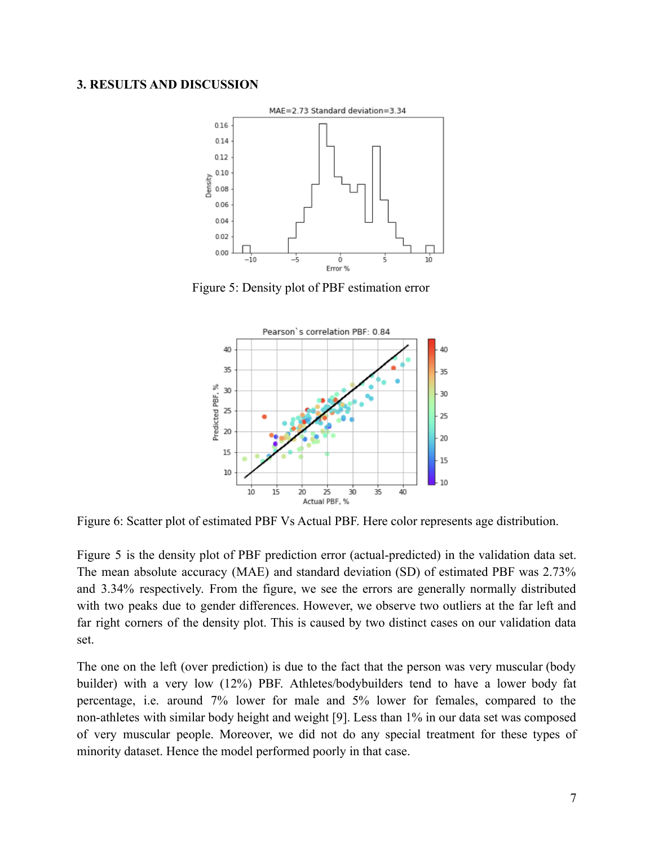#### **3. RESULTS AND DISCUSSION**



Figure 5: Density plot of PBF estimation error



Figure 6: Scatter plot of estimated PBF Vs Actual PBF. Here color represents age distribution.

Figure 5 is the density plot of PBF prediction error (actual-predicted) in the validation data set. The mean absolute accuracy (MAE) and standard deviation (SD) of estimated PBF was 2.73% and 3.34% respectively. From the figure, we see the errors are generally normally distributed with two peaks due to gender differences. However, we observe two outliers at the far left and far right corners of the density plot. This is caused by two distinct cases on our validation data set.

The one on the left (over prediction) is due to the fact that the person was very muscular (body builder) with a very low (12%) PBF. Athletes/bodybuilders tend to have a lower body fat percentage, i.e. around 7% lower for male and 5% lower for females, compared to the non-athletes with similar body height and weight [9]. Less than 1% in our data set was composed of very muscular people. Moreover, we did not do any special treatment for these types of minority dataset. Hence the model performed poorly in that case.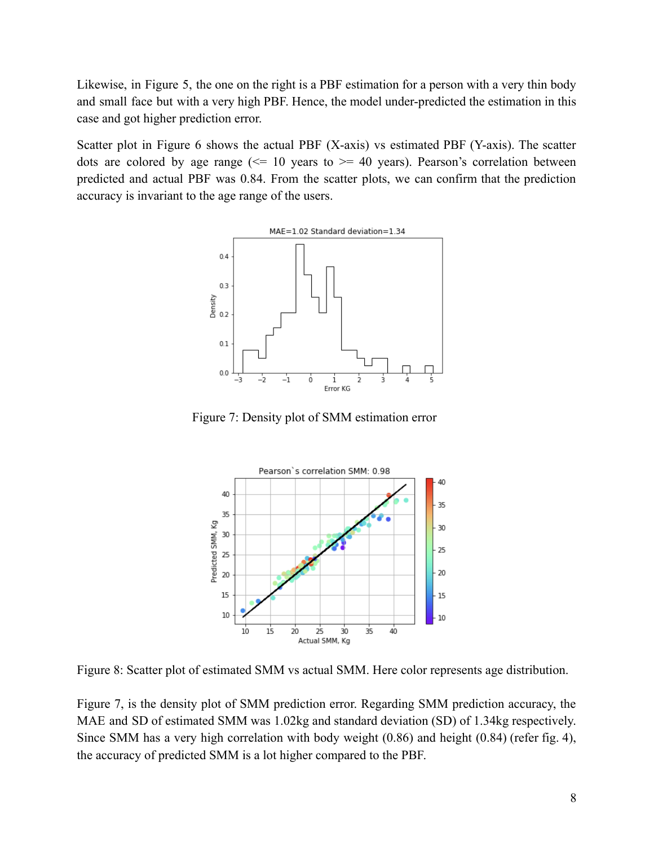Likewise, in Figure 5, the one on the right is a PBF estimation for a person with a very thin body and small face but with a very high PBF. Hence, the model under-predicted the estimation in this case and got higher prediction error.

Scatter plot in Figure 6 shows the actual PBF (X-axis) vs estimated PBF (Y-axis). The scatter dots are colored by age range  $\ll 10$  years to  $\approx 40$  years). Pearson's correlation between predicted and actual PBF was 0.84. From the scatter plots, we can confirm that the prediction accuracy is invariant to the age range of the users.



Figure 7: Density plot of SMM estimation error



Figure 8: Scatter plot of estimated SMM vs actual SMM. Here color represents age distribution.

Figure 7, is the density plot of SMM prediction error. Regarding SMM prediction accuracy, the MAE and SD of estimated SMM was 1.02kg and standard deviation (SD) of 1.34kg respectively. Since SMM has a very high correlation with body weight (0.86) and height (0.84) (refer fig. 4), the accuracy of predicted SMM is a lot higher compared to the PBF.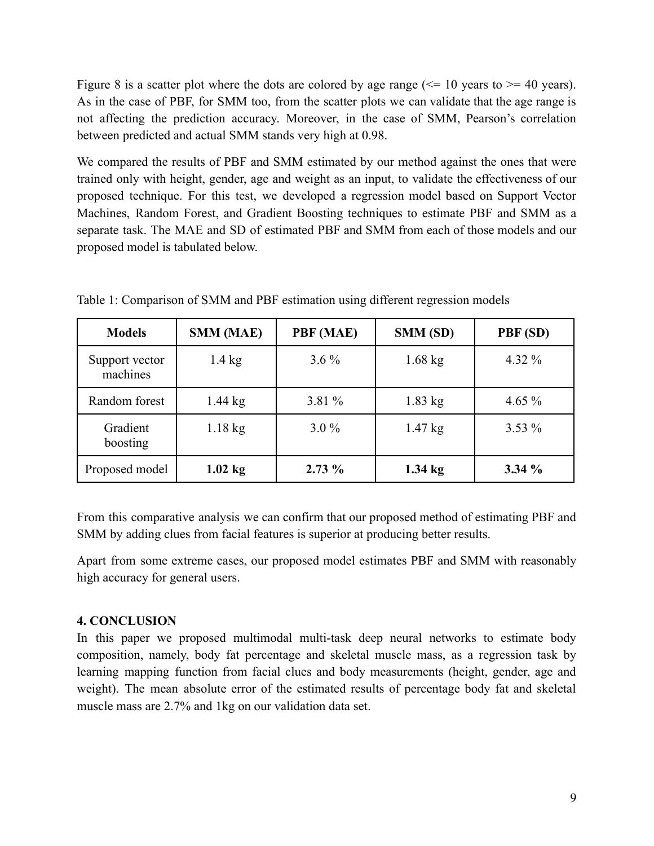Figure 8 is a scatter plot where the dots are colored by age range  $\ll$  = 10 years to  $\gg$  = 40 years). As in the case of PBF, for SMM too, from the scatter plots we can validate that the age range is not affecting the prediction accuracy. Moreover, in the case of SMM, Pearson's correlation between predicted and actual SMM stands very high at 0.98.

We compared the results of PBF and SMM estimated by our method against the ones that were trained only with height, gender, age and weight as an input, to validate the effectiveness of our proposed technique. For this test, we developed a regression model based on Support Vector Machines, Random Forest, and Gradient Boosting techniques to estimate PBF and SMM as a separate task. The MAE and SD of estimated PBF and SMM from each of those models and our proposed model is tabulated below.

| <b>Models</b>              | <b>SMM (MAE)</b> | PBF (MAE) | SMM (SD)          | PBF (SD)  |
|----------------------------|------------------|-----------|-------------------|-----------|
| Support vector<br>machines | $1.4 \text{ kg}$ | $3.6\%$   | $1.68$ kg         | 4.32 $%$  |
| Random forest              | $1.44$ kg        | 3.81 %    | $1.83$ kg         | 4.65 $%$  |
| Gradient<br>boosting       | $1.18$ kg        | $3.0\%$   | $1.47$ kg         | $3.53\%$  |
| Proposed model             | $1.02$ kg        | $2.73\%$  | $1.34 \text{ kg}$ | $3.34 \%$ |

Table 1: Comparison of SMM and PBF estimation using different regression models

From this comparative analysis we can confirm that our proposed method of estimating PBF and SMM by adding clues from facial features is superior at producing better results.

Apart from some extreme cases, our proposed model estimates PBF and SMM with reasonably high accuracy for general users.

### **4. CONCLUSION**

In this paper we proposed multimodal multi-task deep neural networks to estimate body composition, namely, body fat percentage and skeletal muscle mass, as a regression task by learning mapping function from facial clues and body measurements (height, gender, age and weight). The mean absolute error of the estimated results of percentage body fat and skeletal muscle mass are 2.7% and 1kg on our validation data set.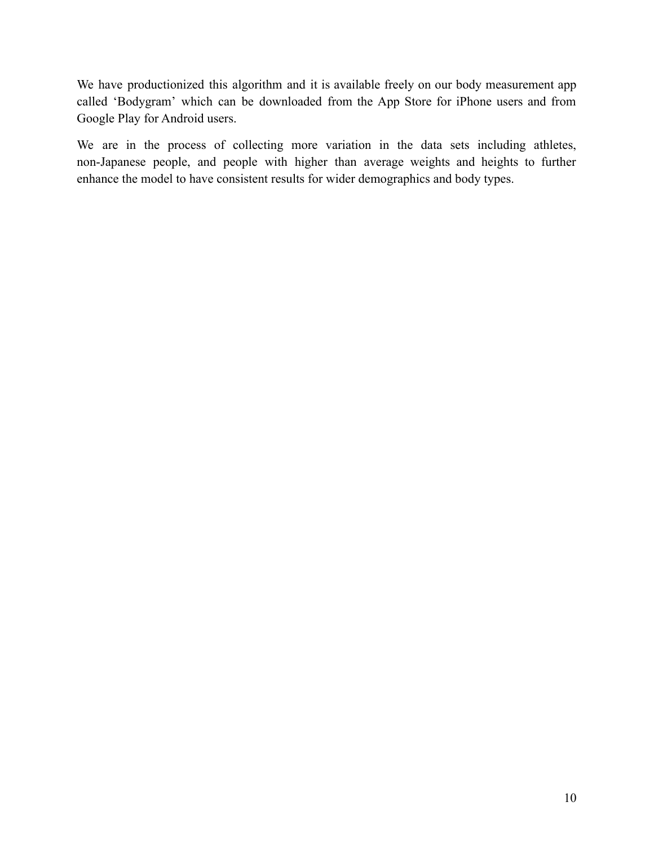We have productionized this algorithm and it is available freely on our body measurement app called 'Bodygram' which can be downloaded from the App Store for iPhone users and from Google Play for Android users.

We are in the process of collecting more variation in the data sets including athletes, non-Japanese people, and people with higher than average weights and heights to further enhance the model to have consistent results for wider demographics and body types.